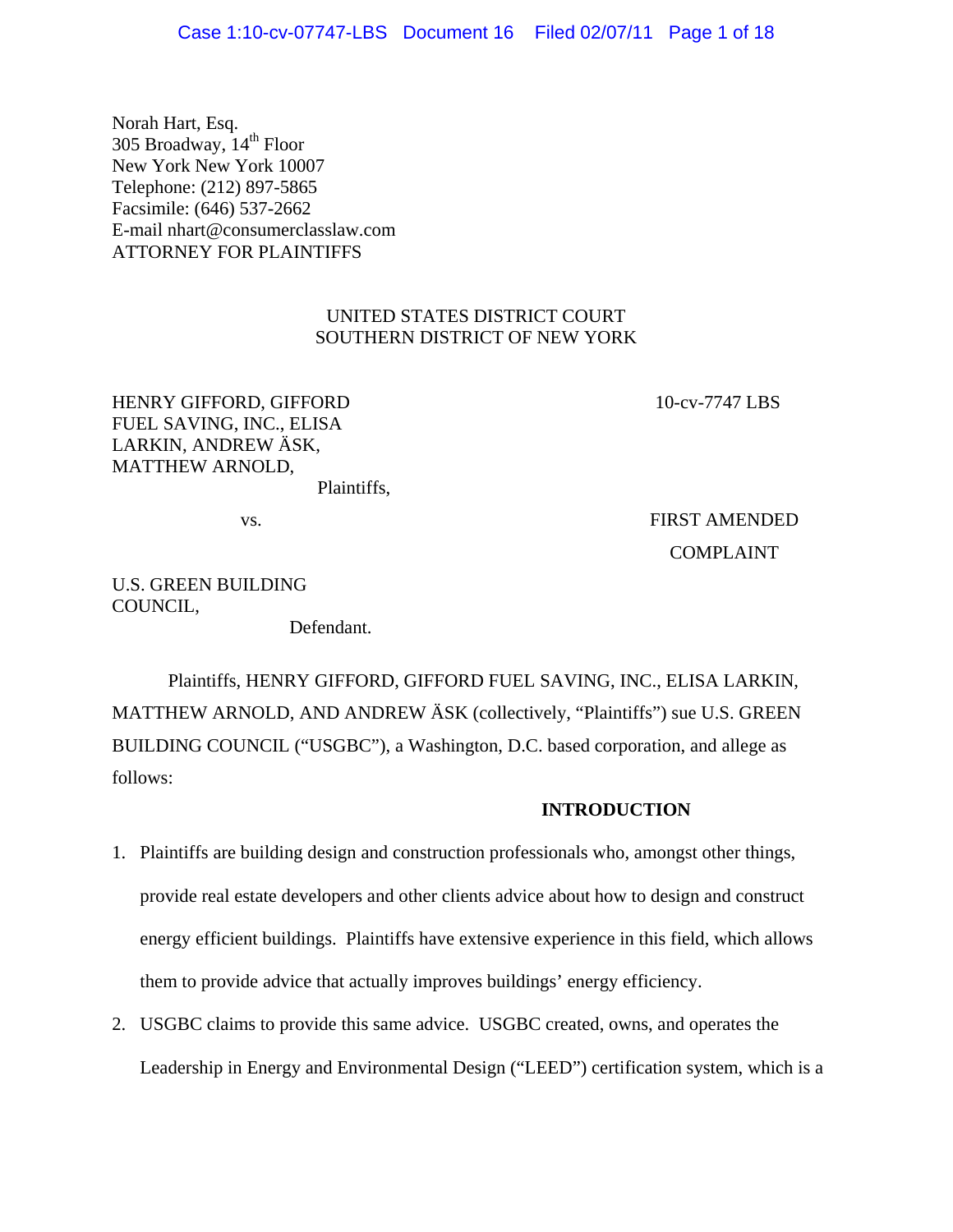Norah Hart, Esq. 305 Broadway, 14<sup>th</sup> Floor New York New York 10007 Telephone: (212) 897-5865 Facsimile: (646) 537-2662 E-mail nhart@consumerclasslaw.com ATTORNEY FOR PLAINTIFFS

# UNITED STATES DISTRICT COURT SOUTHERN DISTRICT OF NEW YORK

HENRY GIFFORD, GIFFORD FUEL SAVING, INC., ELISA LARKIN, ANDREW ÄSK, MATTHEW ARNOLD, Plaintiffs, 10-cv-7747 LBS

COMPLAINT

vs. FIRST AMENDED

U.S. GREEN BUILDING COUNCIL,

Defendant.

 Plaintiffs, HENRY GIFFORD, GIFFORD FUEL SAVING, INC., ELISA LARKIN, MATTHEW ARNOLD, AND ANDREW ÄSK (collectively, "Plaintiffs") sue U.S. GREEN BUILDING COUNCIL ("USGBC"), a Washington, D.C. based corporation, and allege as follows:

### **INTRODUCTION**

- 1. Plaintiffs are building design and construction professionals who, amongst other things, provide real estate developers and other clients advice about how to design and construct energy efficient buildings. Plaintiffs have extensive experience in this field, which allows them to provide advice that actually improves buildings' energy efficiency.
- 2. USGBC claims to provide this same advice. USGBC created, owns, and operates the Leadership in Energy and Environmental Design ("LEED") certification system, which is a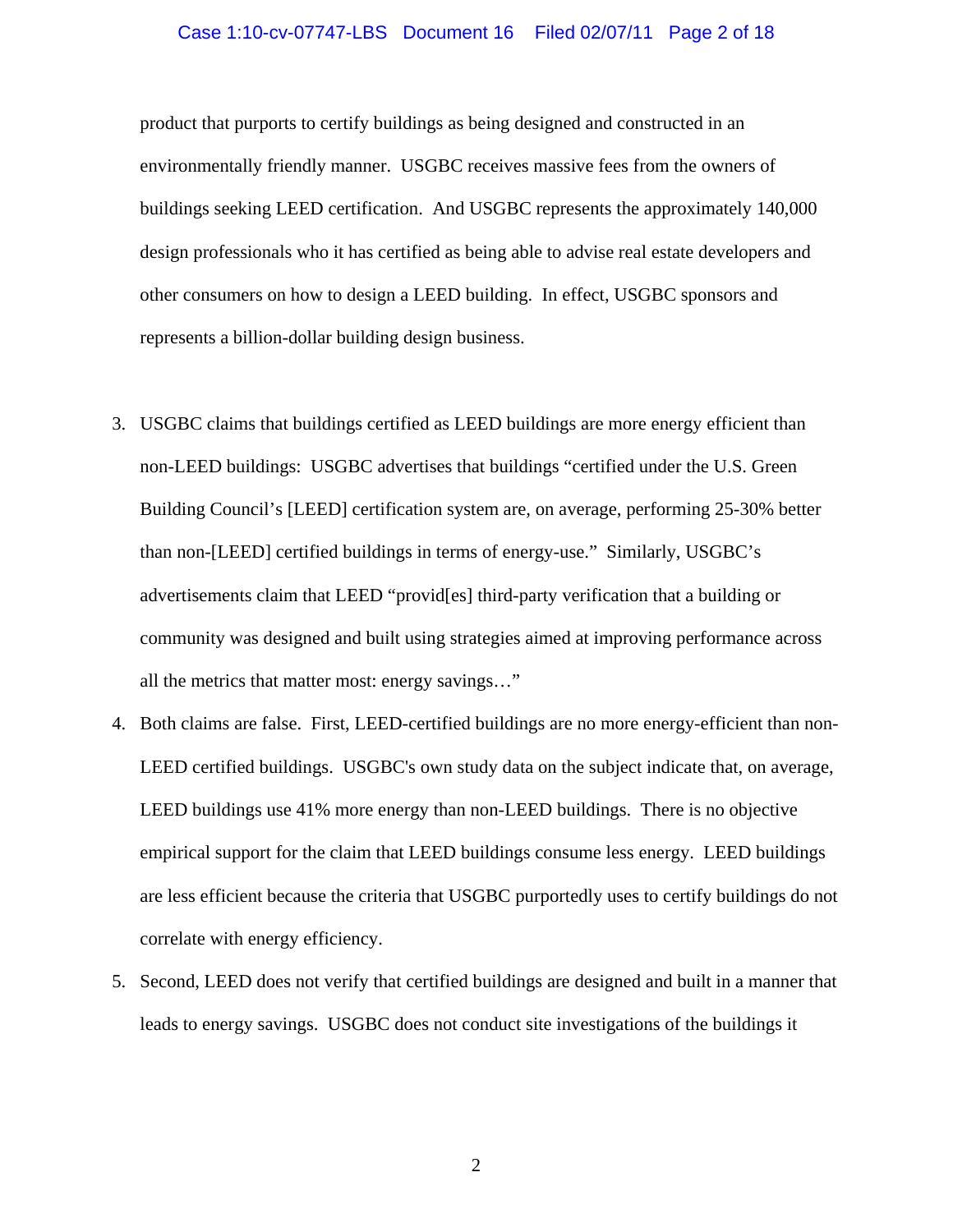#### Case 1:10-cv-07747-LBS Document 16 Filed 02/07/11 Page 2 of 18

product that purports to certify buildings as being designed and constructed in an environmentally friendly manner. USGBC receives massive fees from the owners of buildings seeking LEED certification. And USGBC represents the approximately 140,000 design professionals who it has certified as being able to advise real estate developers and other consumers on how to design a LEED building. In effect, USGBC sponsors and represents a billion-dollar building design business.

- 3. USGBC claims that buildings certified as LEED buildings are more energy efficient than non-LEED buildings: USGBC advertises that buildings "certified under the U.S. Green Building Council's [LEED] certification system are, on average, performing 25-30% better than non-[LEED] certified buildings in terms of energy-use." Similarly, USGBC's advertisements claim that LEED "provid[es] third-party verification that a building or community was designed and built using strategies aimed at improving performance across all the metrics that matter most: energy savings…"
- 4. Both claims are false. First, LEED-certified buildings are no more energy-efficient than non-LEED certified buildings. USGBC's own study data on the subject indicate that, on average, LEED buildings use 41% more energy than non-LEED buildings. There is no objective empirical support for the claim that LEED buildings consume less energy. LEED buildings are less efficient because the criteria that USGBC purportedly uses to certify buildings do not correlate with energy efficiency.
- 5. Second, LEED does not verify that certified buildings are designed and built in a manner that leads to energy savings. USGBC does not conduct site investigations of the buildings it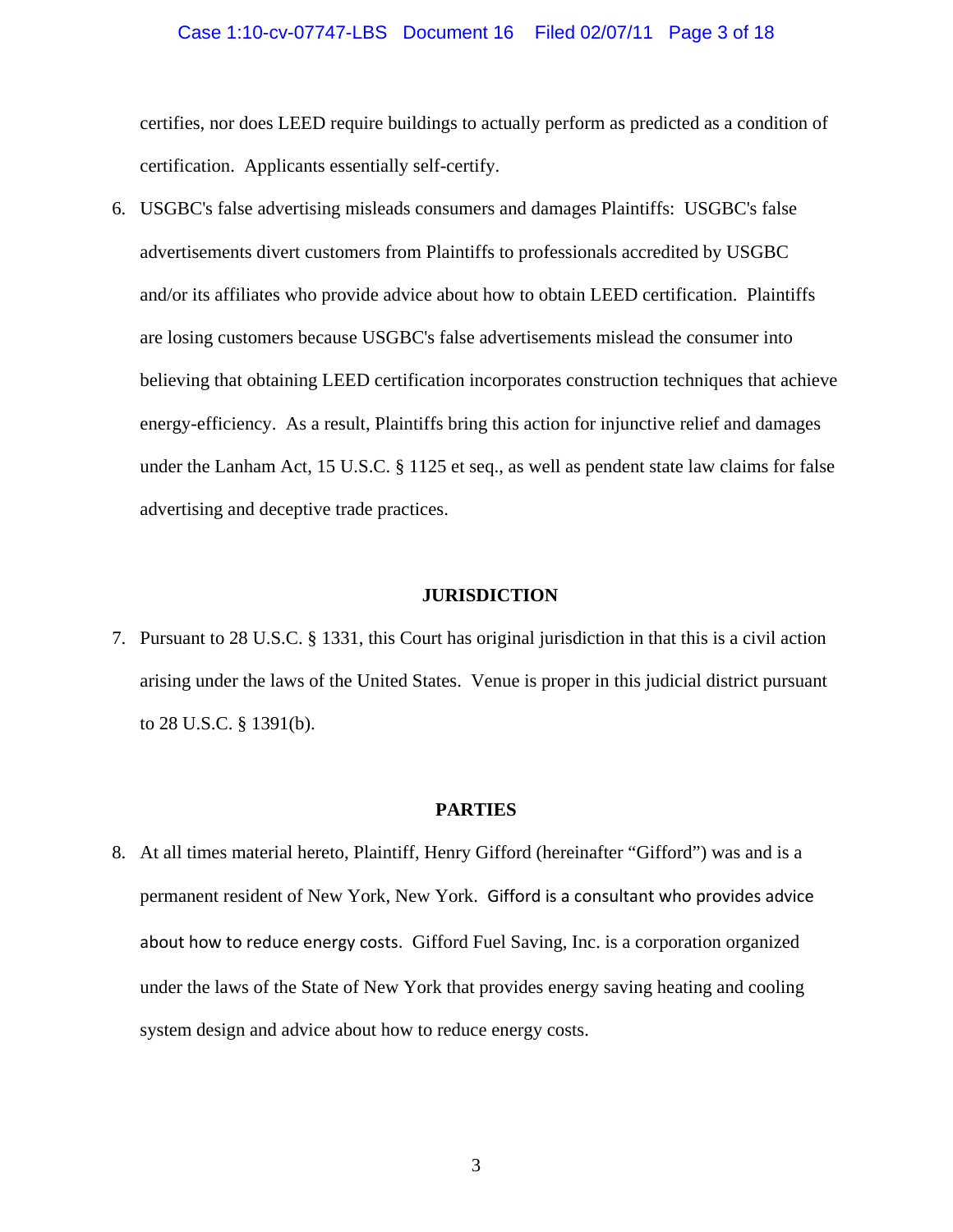### Case 1:10-cv-07747-LBS Document 16 Filed 02/07/11 Page 3 of 18

certifies, nor does LEED require buildings to actually perform as predicted as a condition of certification. Applicants essentially self-certify.

6. USGBC's false advertising misleads consumers and damages Plaintiffs: USGBC's false advertisements divert customers from Plaintiffs to professionals accredited by USGBC and/or its affiliates who provide advice about how to obtain LEED certification. Plaintiffs are losing customers because USGBC's false advertisements mislead the consumer into believing that obtaining LEED certification incorporates construction techniques that achieve energy-efficiency. As a result, Plaintiffs bring this action for injunctive relief and damages under the Lanham Act, 15 U.S.C. § 1125 et seq., as well as pendent state law claims for false advertising and deceptive trade practices.

#### **JURISDICTION**

7. Pursuant to 28 U.S.C. § 1331, this Court has original jurisdiction in that this is a civil action arising under the laws of the United States. Venue is proper in this judicial district pursuant to 28 U.S.C. § 1391(b).

#### **PARTIES**

8. At all times material hereto, Plaintiff, Henry Gifford (hereinafter "Gifford") was and is a permanent resident of New York, New York. Gifford is a consultant who provides advice about how to reduce energy costs. Gifford Fuel Saving, Inc. is a corporation organized under the laws of the State of New York that provides energy saving heating and cooling system design and advice about how to reduce energy costs.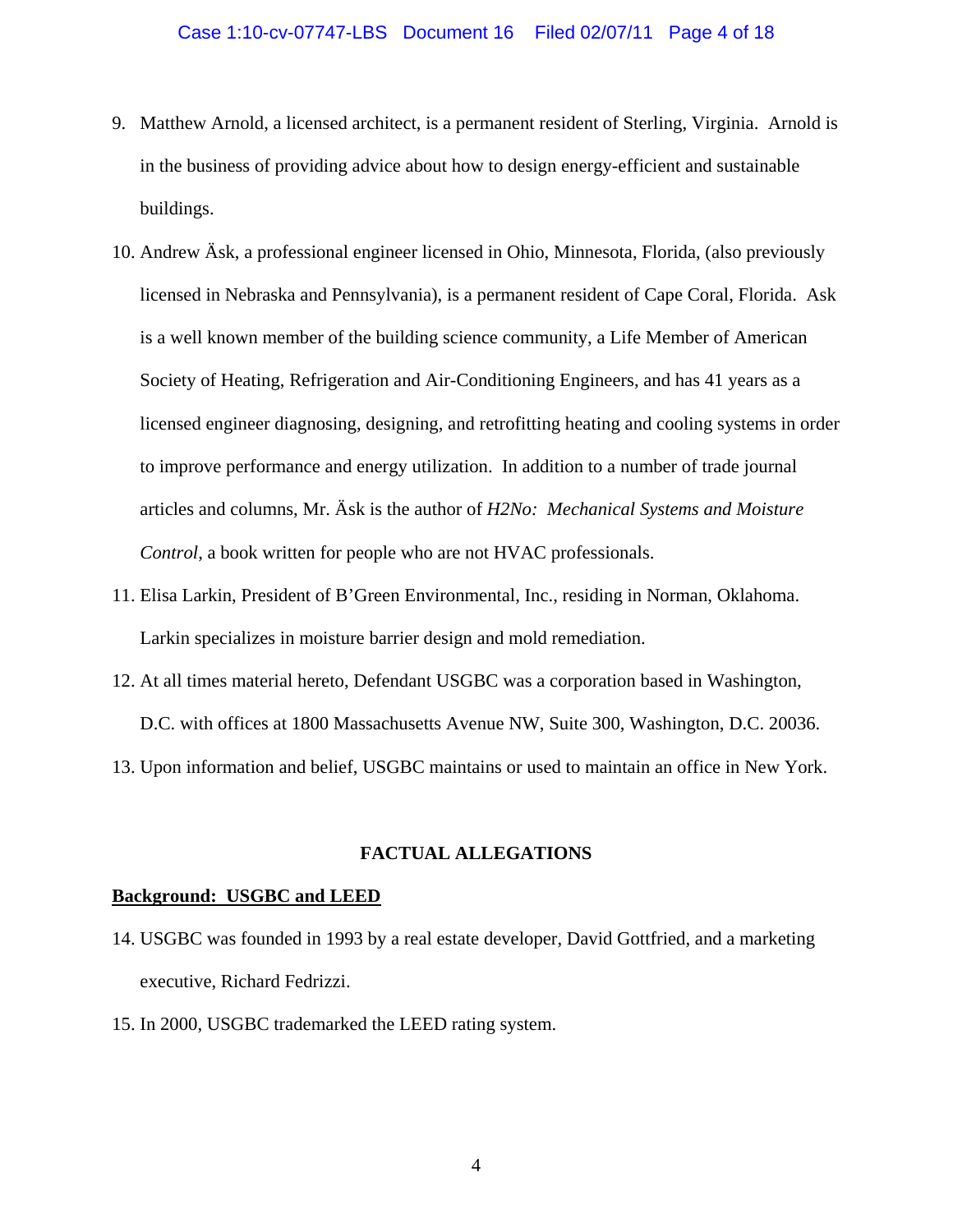### Case 1:10-cv-07747-LBS Document 16 Filed 02/07/11 Page 4 of 18

- 9. Matthew Arnold, a licensed architect, is a permanent resident of Sterling, Virginia. Arnold is in the business of providing advice about how to design energy-efficient and sustainable buildings.
- 10. Andrew Äsk, a professional engineer licensed in Ohio, Minnesota, Florida, (also previously licensed in Nebraska and Pennsylvania), is a permanent resident of Cape Coral, Florida. Ask is a well known member of the building science community, a Life Member of American Society of Heating, Refrigeration and Air-Conditioning Engineers, and has 41 years as a licensed engineer diagnosing, designing, and retrofitting heating and cooling systems in order to improve performance and energy utilization. In addition to a number of trade journal articles and columns, Mr. Äsk is the author of *H2No: Mechanical Systems and Moisture Control*, a book written for people who are not HVAC professionals.
- 11. Elisa Larkin, President of B'Green Environmental, Inc., residing in Norman, Oklahoma. Larkin specializes in moisture barrier design and mold remediation.
- 12. At all times material hereto, Defendant USGBC was a corporation based in Washington, D.C. with offices at 1800 Massachusetts Avenue NW, Suite 300, Washington, D.C. 20036.
- 13. Upon information and belief, USGBC maintains or used to maintain an office in New York.

### **FACTUAL ALLEGATIONS**

#### **Background: USGBC and LEED**

- 14. USGBC was founded in 1993 by a real estate developer, David Gottfried, and a marketing executive, Richard Fedrizzi.
- 15. In 2000, USGBC trademarked the LEED rating system.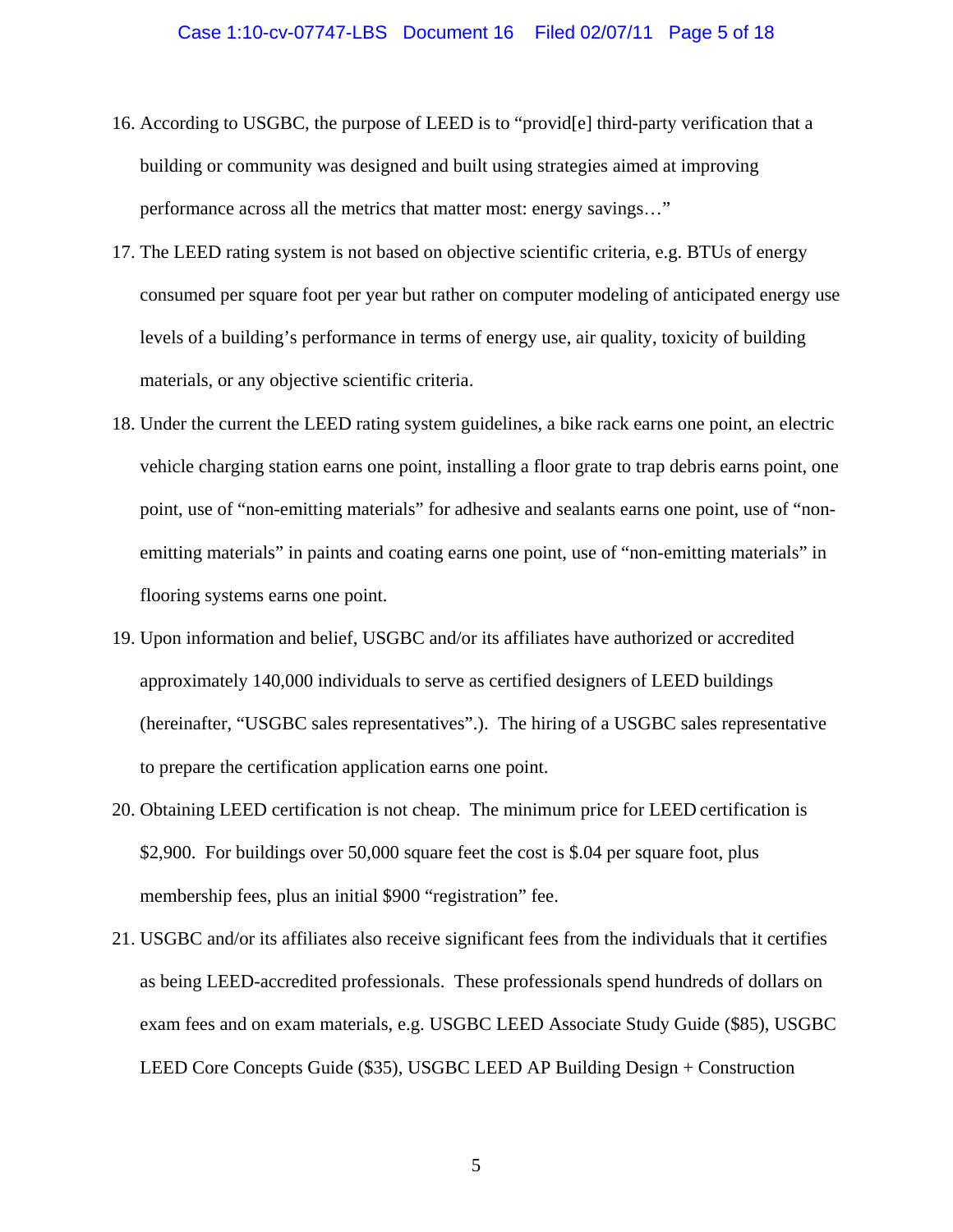- 16. According to USGBC, the purpose of LEED is to "provid[e] third-party verification that a building or community was designed and built using strategies aimed at improving performance across all the metrics that matter most: energy savings…"
- 17. The LEED rating system is not based on objective scientific criteria, e.g. BTUs of energy consumed per square foot per year but rather on computer modeling of anticipated energy use levels of a building's performance in terms of energy use, air quality, toxicity of building materials, or any objective scientific criteria.
- 18. Under the current the LEED rating system guidelines, a bike rack earns one point, an electric vehicle charging station earns one point, installing a floor grate to trap debris earns point, one point, use of "non-emitting materials" for adhesive and sealants earns one point, use of "nonemitting materials" in paints and coating earns one point, use of "non-emitting materials" in flooring systems earns one point.
- 19. Upon information and belief, USGBC and/or its affiliates have authorized or accredited approximately 140,000 individuals to serve as certified designers of LEED buildings (hereinafter, "USGBC sales representatives".). The hiring of a USGBC sales representative to prepare the certification application earns one point.
- 20. Obtaining LEED certification is not cheap. The minimum price for LEED certification is \$2,900. For buildings over 50,000 square feet the cost is \$.04 per square foot, plus membership fees, plus an initial \$900 "registration" fee.
- 21. USGBC and/or its affiliates also receive significant fees from the individuals that it certifies as being LEED-accredited professionals. These professionals spend hundreds of dollars on exam fees and on exam materials, e.g. USGBC LEED Associate Study Guide (\$85), USGBC LEED Core Concepts Guide (\$35), USGBC LEED AP Building Design + Construction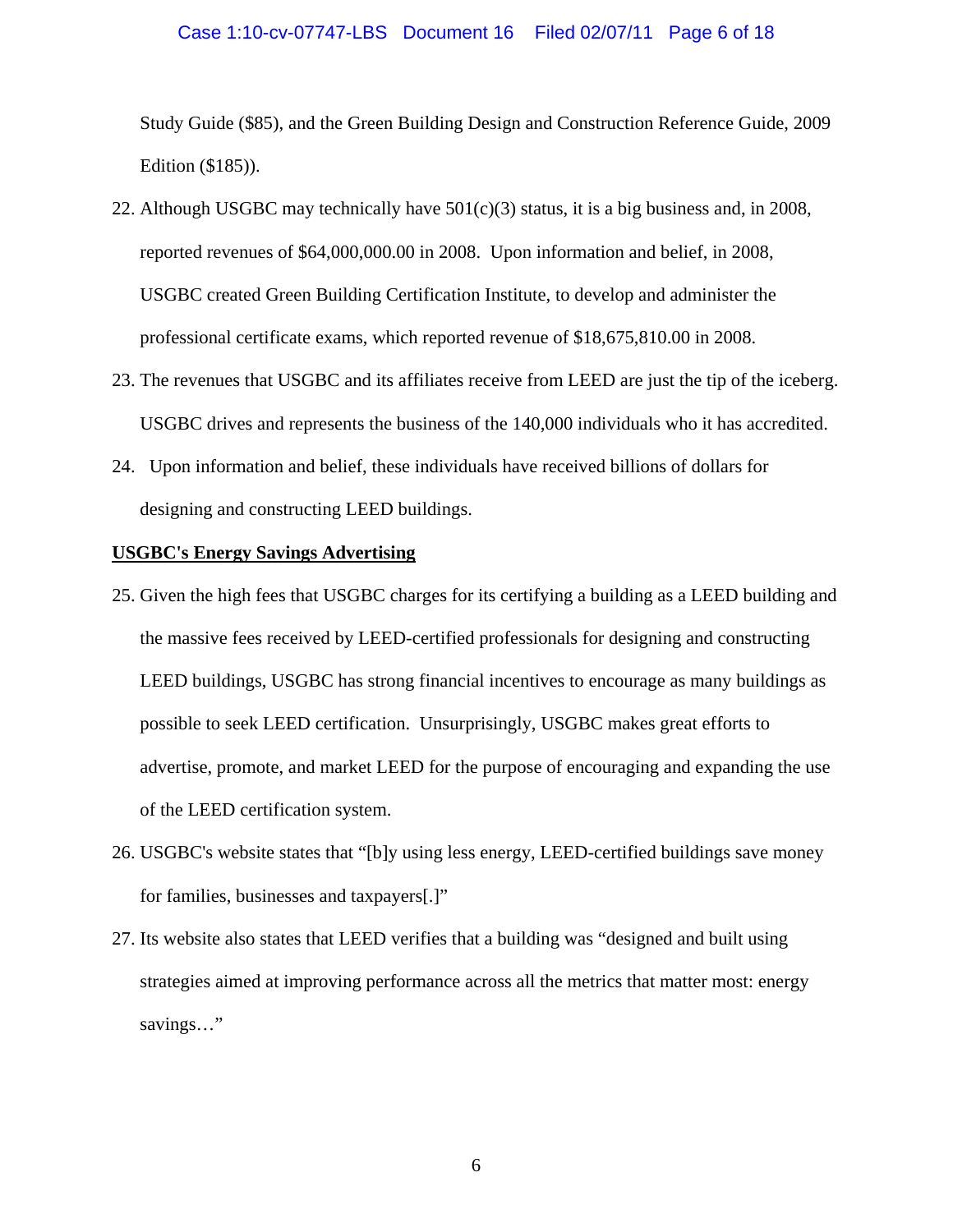# Case 1:10-cv-07747-LBS Document 16 Filed 02/07/11 Page 6 of 18

Study Guide (\$85), and the Green Building Design and Construction Reference Guide, 2009 Edition (\$185)).

- 22. Although USGBC may technically have  $501(c)(3)$  status, it is a big business and, in 2008, reported revenues of \$64,000,000.00 in 2008. Upon information and belief, in 2008, USGBC created Green Building Certification Institute, to develop and administer the professional certificate exams, which reported revenue of \$18,675,810.00 in 2008.
- 23. The revenues that USGBC and its affiliates receive from LEED are just the tip of the iceberg. USGBC drives and represents the business of the 140,000 individuals who it has accredited.
- 24. Upon information and belief, these individuals have received billions of dollars for designing and constructing LEED buildings.

#### **USGBC's Energy Savings Advertising**

- 25. Given the high fees that USGBC charges for its certifying a building as a LEED building and the massive fees received by LEED-certified professionals for designing and constructing LEED buildings, USGBC has strong financial incentives to encourage as many buildings as possible to seek LEED certification. Unsurprisingly, USGBC makes great efforts to advertise, promote, and market LEED for the purpose of encouraging and expanding the use of the LEED certification system.
- 26. USGBC's website states that "[b]y using less energy, LEED-certified buildings save money for families, businesses and taxpayers[.]"
- 27. Its website also states that LEED verifies that a building was "designed and built using strategies aimed at improving performance across all the metrics that matter most: energy savings…"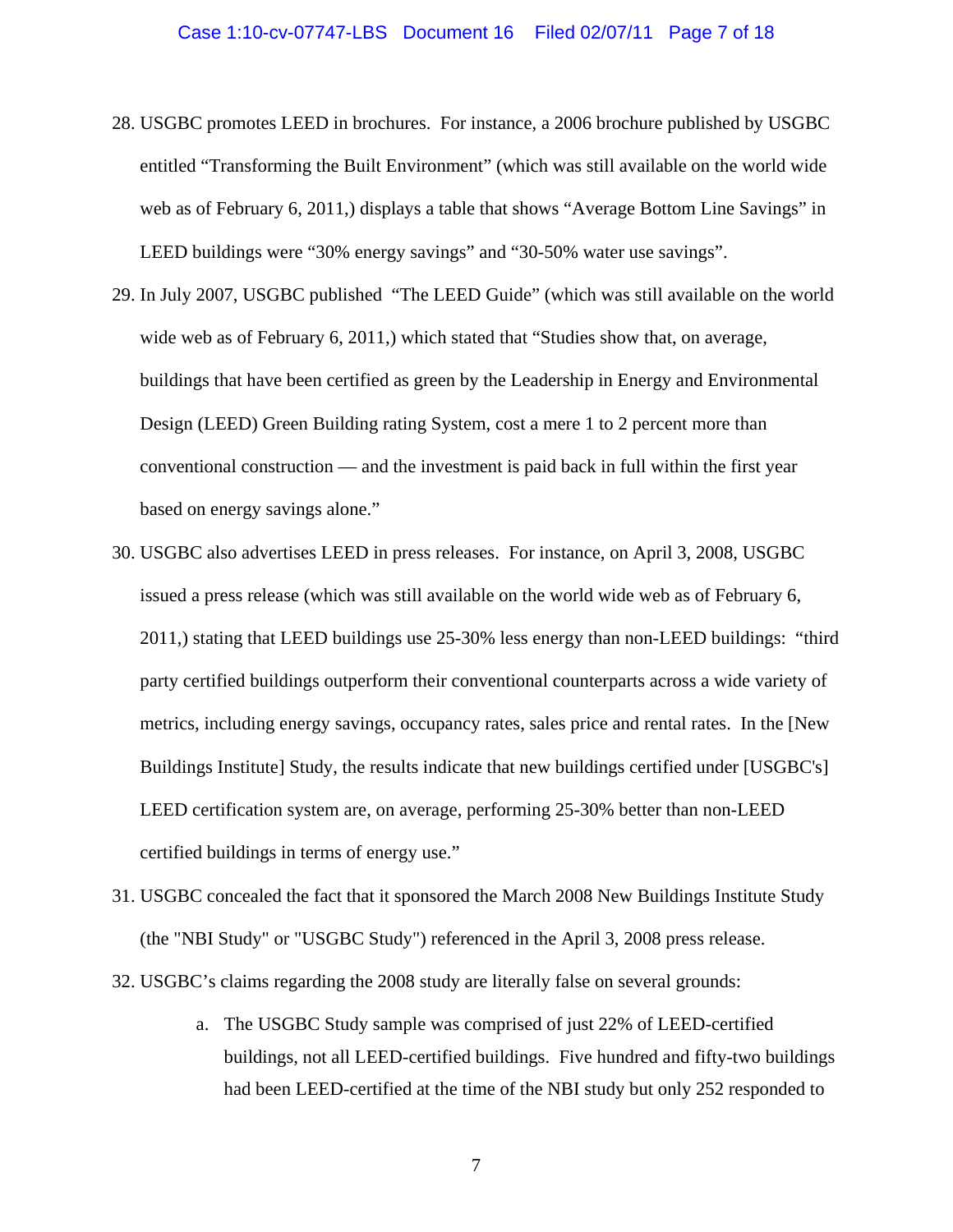#### Case 1:10-cv-07747-LBS Document 16 Filed 02/07/11 Page 7 of 18

- 28. USGBC promotes LEED in brochures. For instance, a 2006 brochure published by USGBC entitled "Transforming the Built Environment" (which was still available on the world wide web as of February 6, 2011,) displays a table that shows "Average Bottom Line Savings" in LEED buildings were "30% energy savings" and "30-50% water use savings".
- 29. In July 2007, USGBC published "The LEED Guide" (which was still available on the world wide web as of February 6, 2011,) which stated that "Studies show that, on average, buildings that have been certified as green by the Leadership in Energy and Environmental Design (LEED) Green Building rating System, cost a mere 1 to 2 percent more than conventional construction — and the investment is paid back in full within the first year based on energy savings alone."
- 30. USGBC also advertises LEED in press releases. For instance, on April 3, 2008, USGBC issued a press release (which was still available on the world wide web as of February 6, 2011,) stating that LEED buildings use 25-30% less energy than non-LEED buildings: "third party certified buildings outperform their conventional counterparts across a wide variety of metrics, including energy savings, occupancy rates, sales price and rental rates. In the [New Buildings Institute] Study, the results indicate that new buildings certified under [USGBC's] LEED certification system are, on average, performing 25-30% better than non-LEED certified buildings in terms of energy use."
- 31. USGBC concealed the fact that it sponsored the March 2008 New Buildings Institute Study (the "NBI Study" or "USGBC Study") referenced in the April 3, 2008 press release.
- 32. USGBC's claims regarding the 2008 study are literally false on several grounds:
	- a. The USGBC Study sample was comprised of just 22% of LEED-certified buildings, not all LEED-certified buildings. Five hundred and fifty-two buildings had been LEED-certified at the time of the NBI study but only 252 responded to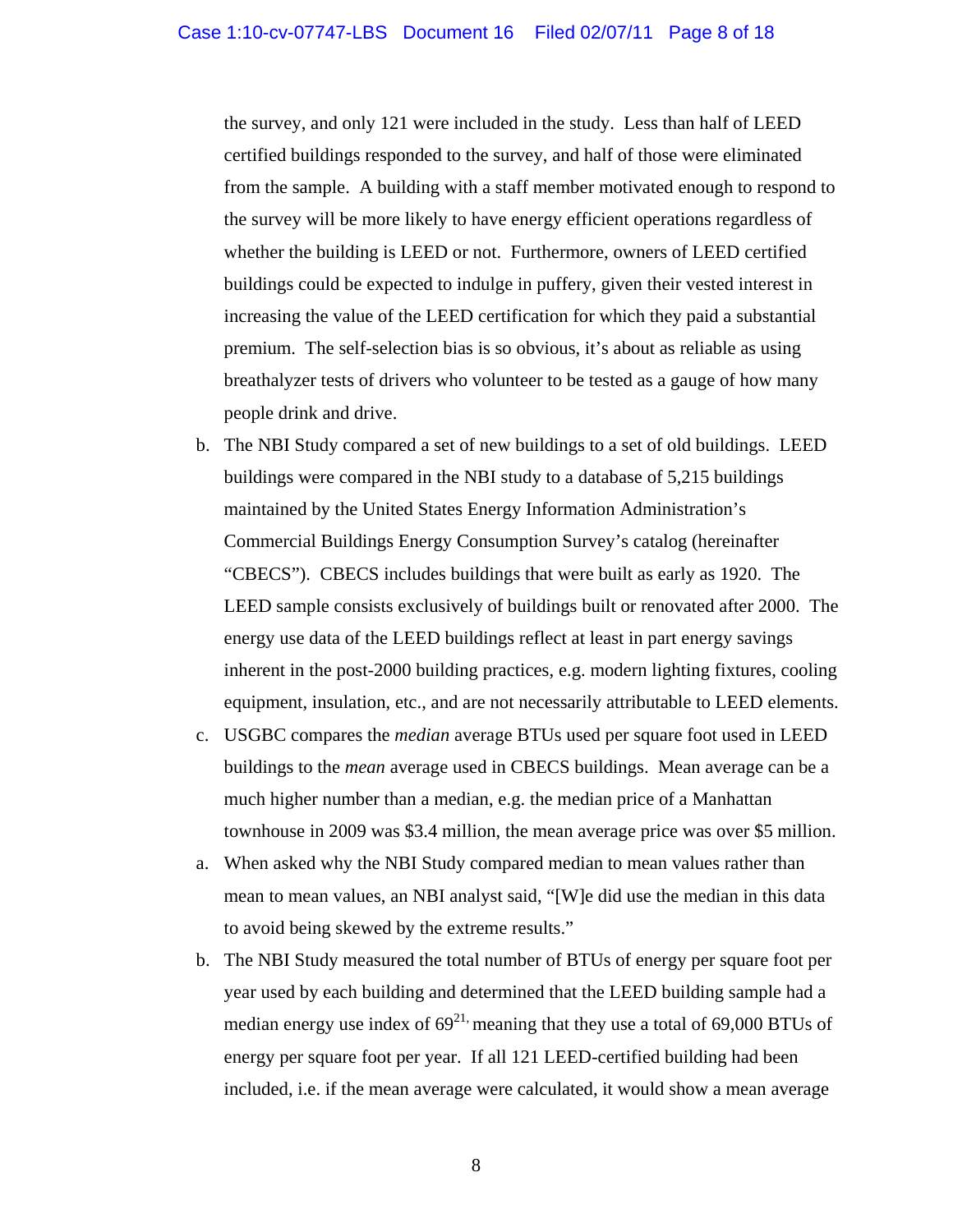the survey, and only 121 were included in the study. Less than half of LEED certified buildings responded to the survey, and half of those were eliminated from the sample. A building with a staff member motivated enough to respond to the survey will be more likely to have energy efficient operations regardless of whether the building is LEED or not. Furthermore, owners of LEED certified buildings could be expected to indulge in puffery, given their vested interest in increasing the value of the LEED certification for which they paid a substantial premium. The self-selection bias is so obvious, it's about as reliable as using breathalyzer tests of drivers who volunteer to be tested as a gauge of how many people drink and drive.

- b. The NBI Study compared a set of new buildings to a set of old buildings. LEED buildings were compared in the NBI study to a database of 5,215 buildings maintained by the United States Energy Information Administration's Commercial Buildings Energy Consumption Survey's catalog (hereinafter "CBECS"). CBECS includes buildings that were built as early as 1920. The LEED sample consists exclusively of buildings built or renovated after 2000. The energy use data of the LEED buildings reflect at least in part energy savings inherent in the post-2000 building practices, e.g. modern lighting fixtures, cooling equipment, insulation, etc., and are not necessarily attributable to LEED elements.
- c. USGBC compares the *median* average BTUs used per square foot used in LEED buildings to the *mean* average used in CBECS buildings. Mean average can be a much higher number than a median, e.g. the median price of a Manhattan townhouse in 2009 was \$3.4 million, the mean average price was over \$5 million.
- a. When asked why the NBI Study compared median to mean values rather than mean to mean values, an NBI analyst said, "[W]e did use the median in this data to avoid being skewed by the extreme results."
- b. The NBI Study measured the total number of BTUs of energy per square foot per year used by each building and determined that the LEED building sample had a median energy use index of  $69^{21}$ , meaning that they use a total of 69,000 BTUs of energy per square foot per year. If all 121 LEED-certified building had been included, i.e. if the mean average were calculated, it would show a mean average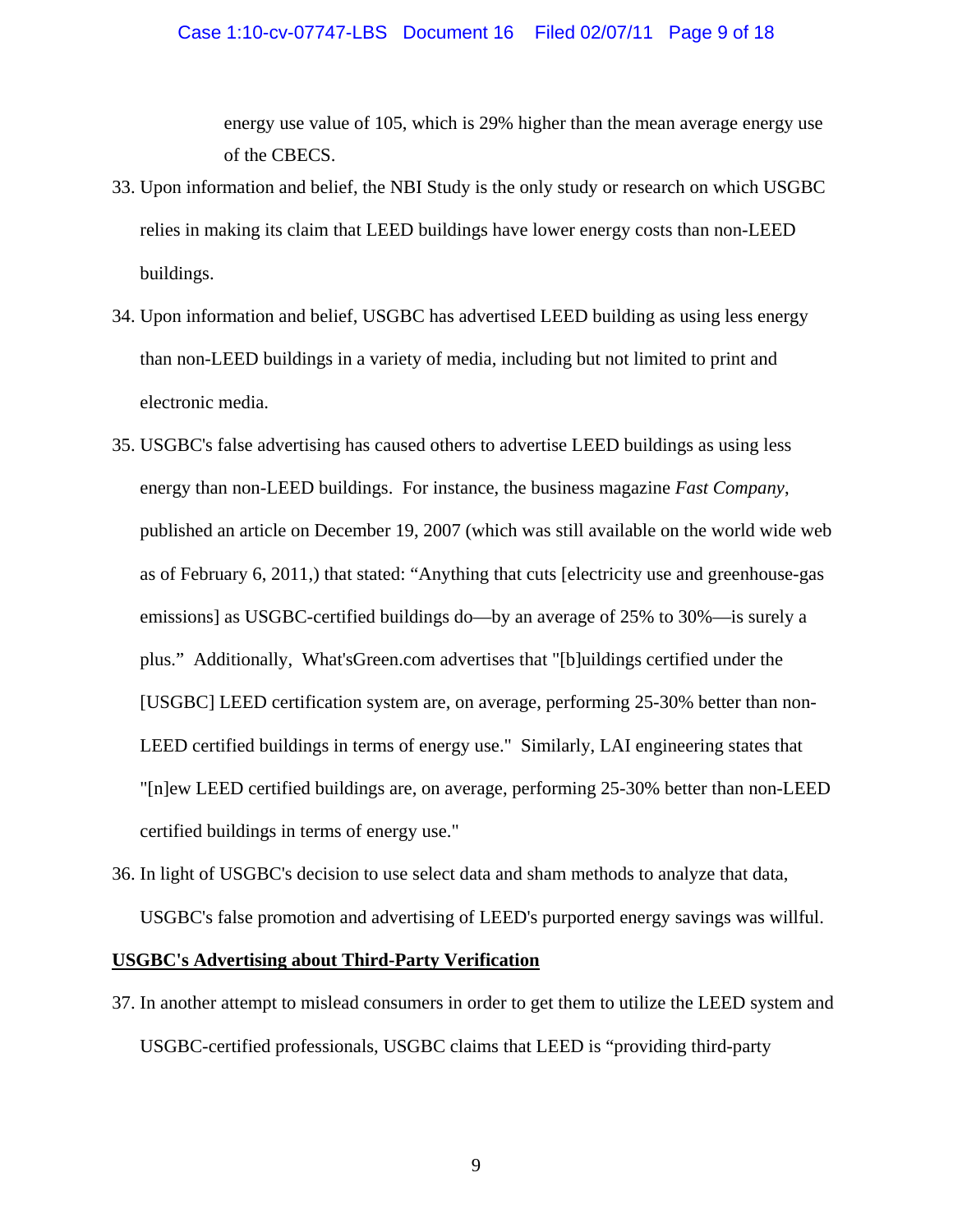# Case 1:10-cv-07747-LBS Document 16 Filed 02/07/11 Page 9 of 18

energy use value of 105, which is 29% higher than the mean average energy use of the CBECS.

- 33. Upon information and belief, the NBI Study is the only study or research on which USGBC relies in making its claim that LEED buildings have lower energy costs than non-LEED buildings.
- 34. Upon information and belief, USGBC has advertised LEED building as using less energy than non-LEED buildings in a variety of media, including but not limited to print and electronic media.
- 35. USGBC's false advertising has caused others to advertise LEED buildings as using less energy than non-LEED buildings. For instance, the business magazine *Fast Company*, published an article on December 19, 2007 (which was still available on the world wide web as of February 6, 2011,) that stated: "Anything that cuts [electricity use and greenhouse-gas emissions] as USGBC-certified buildings do—by an average of 25% to 30%—is surely a plus." Additionally, What'sGreen.com advertises that "[b]uildings certified under the [USGBC] LEED certification system are, on average, performing 25-30% better than non-LEED certified buildings in terms of energy use." Similarly, LAI engineering states that "[n]ew LEED certified buildings are, on average, performing 25-30% better than non-LEED certified buildings in terms of energy use."
- 36. In light of USGBC's decision to use select data and sham methods to analyze that data, USGBC's false promotion and advertising of LEED's purported energy savings was willful.

# **USGBC's Advertising about Third-Party Verification**

37. In another attempt to mislead consumers in order to get them to utilize the LEED system and USGBC-certified professionals, USGBC claims that LEED is "providing third-party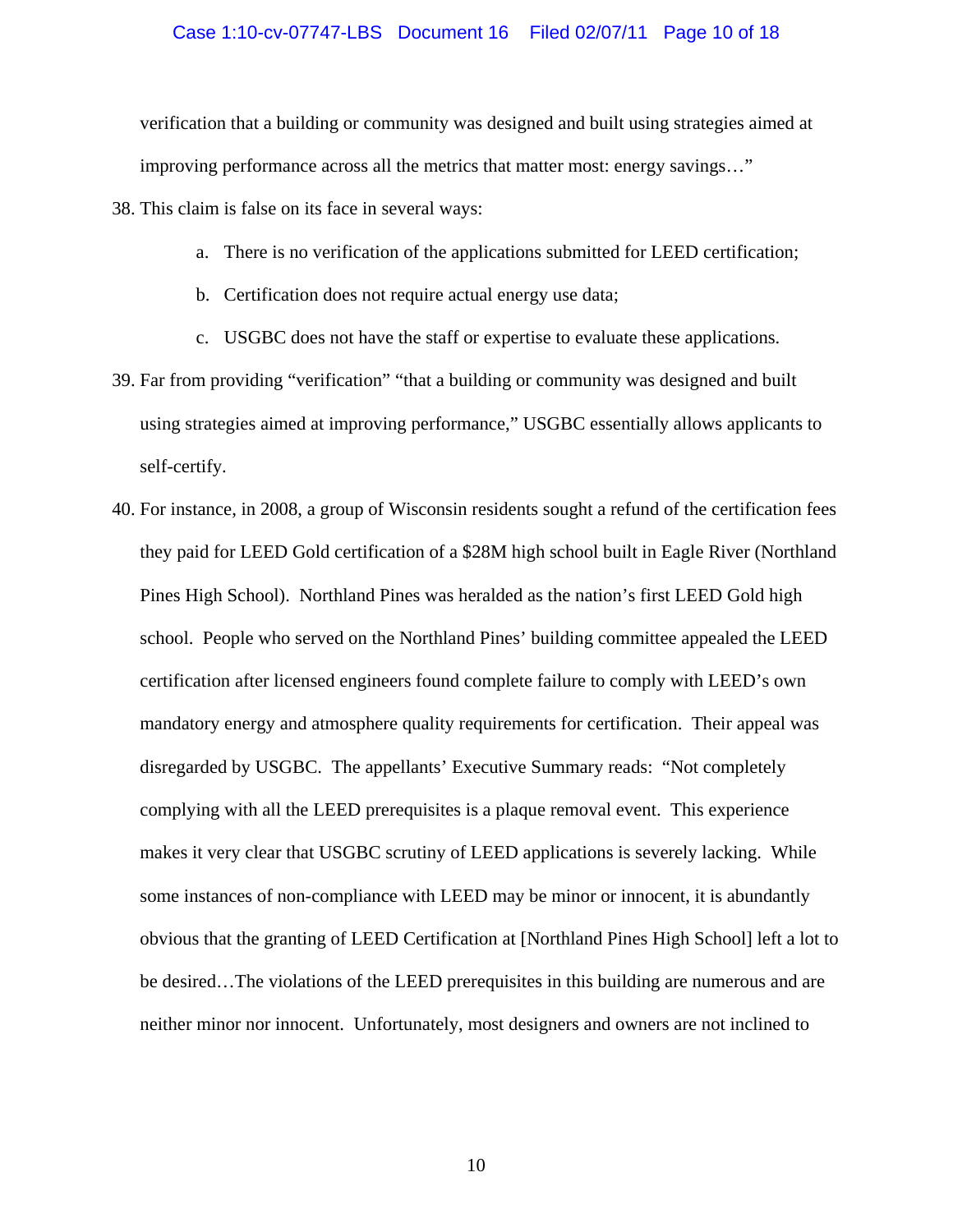verification that a building or community was designed and built using strategies aimed at improving performance across all the metrics that matter most: energy savings…"

38. This claim is false on its face in several ways:

- a. There is no verification of the applications submitted for LEED certification;
- b. Certification does not require actual energy use data;
- c. USGBC does not have the staff or expertise to evaluate these applications.
- 39. Far from providing "verification" "that a building or community was designed and built using strategies aimed at improving performance," USGBC essentially allows applicants to self-certify.
- 40. For instance, in 2008, a group of Wisconsin residents sought a refund of the certification fees they paid for LEED Gold certification of a \$28M high school built in Eagle River (Northland Pines High School). Northland Pines was heralded as the nation's first LEED Gold high school. People who served on the Northland Pines' building committee appealed the LEED certification after licensed engineers found complete failure to comply with LEED's own mandatory energy and atmosphere quality requirements for certification. Their appeal was disregarded by USGBC. The appellants' Executive Summary reads: "Not completely complying with all the LEED prerequisites is a plaque removal event. This experience makes it very clear that USGBC scrutiny of LEED applications is severely lacking. While some instances of non-compliance with LEED may be minor or innocent, it is abundantly obvious that the granting of LEED Certification at [Northland Pines High School] left a lot to be desired…The violations of the LEED prerequisites in this building are numerous and are neither minor nor innocent. Unfortunately, most designers and owners are not inclined to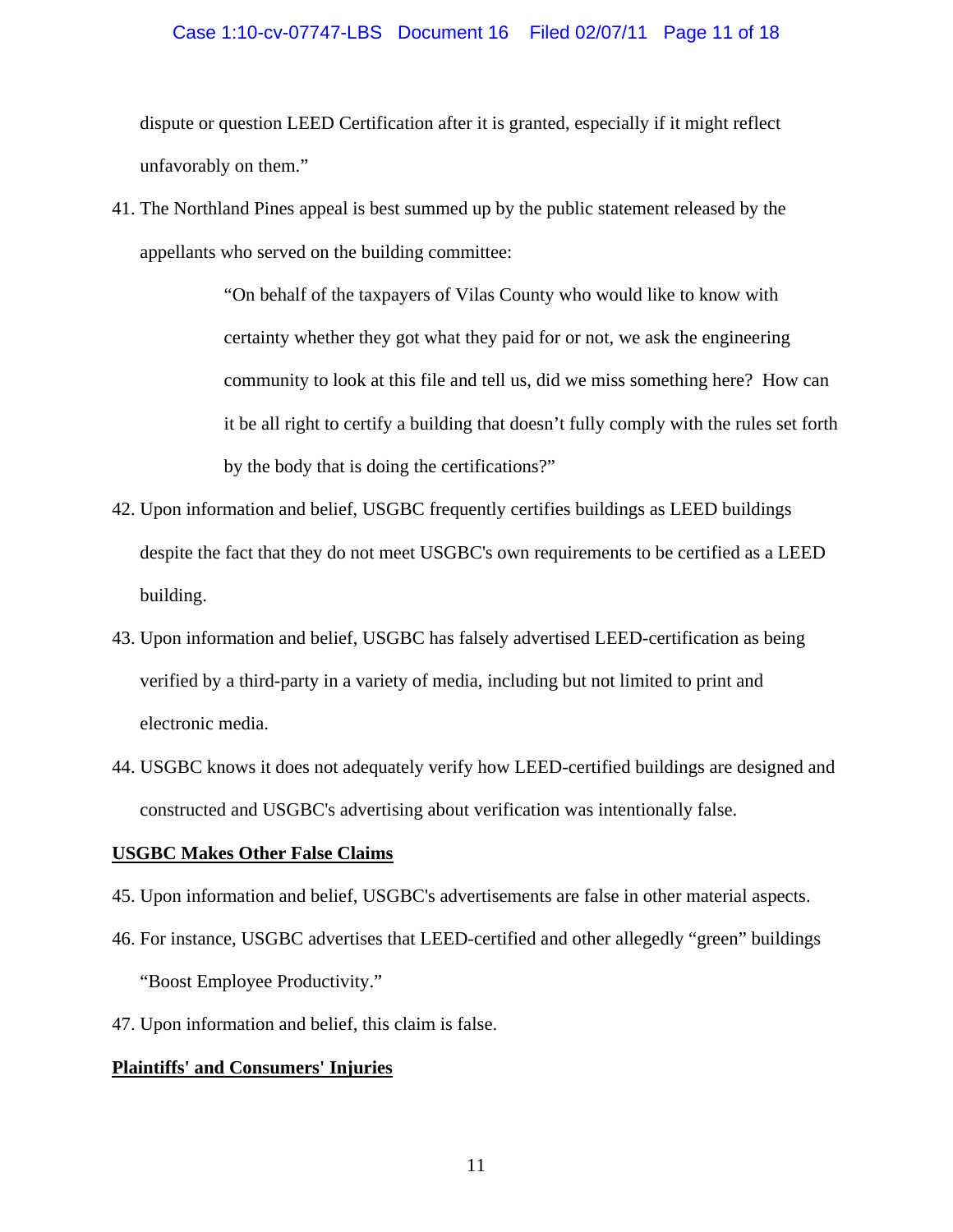dispute or question LEED Certification after it is granted, especially if it might reflect unfavorably on them."

41. The Northland Pines appeal is best summed up by the public statement released by the appellants who served on the building committee:

> "On behalf of the taxpayers of Vilas County who would like to know with certainty whether they got what they paid for or not, we ask the engineering community to look at this file and tell us, did we miss something here? How can it be all right to certify a building that doesn't fully comply with the rules set forth by the body that is doing the certifications?"

- 42. Upon information and belief, USGBC frequently certifies buildings as LEED buildings despite the fact that they do not meet USGBC's own requirements to be certified as a LEED building.
- 43. Upon information and belief, USGBC has falsely advertised LEED-certification as being verified by a third-party in a variety of media, including but not limited to print and electronic media.
- 44. USGBC knows it does not adequately verify how LEED-certified buildings are designed and constructed and USGBC's advertising about verification was intentionally false.

# **USGBC Makes Other False Claims**

- 45. Upon information and belief, USGBC's advertisements are false in other material aspects.
- 46. For instance, USGBC advertises that LEED-certified and other allegedly "green" buildings "Boost Employee Productivity."
- 47. Upon information and belief, this claim is false.

# **Plaintiffs' and Consumers' Injuries**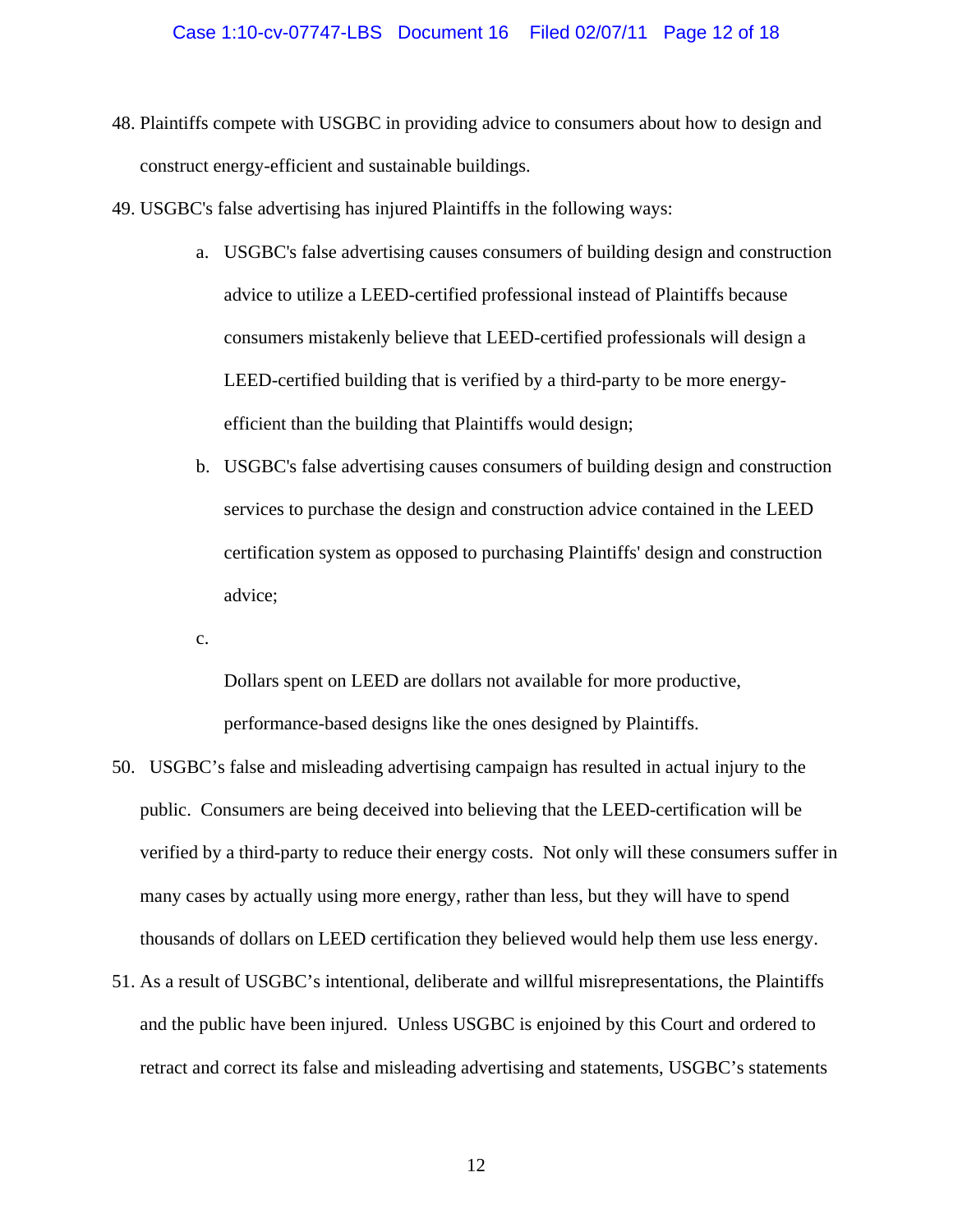- 48. Plaintiffs compete with USGBC in providing advice to consumers about how to design and construct energy-efficient and sustainable buildings.
- 49. USGBC's false advertising has injured Plaintiffs in the following ways:
	- a. USGBC's false advertising causes consumers of building design and construction advice to utilize a LEED-certified professional instead of Plaintiffs because consumers mistakenly believe that LEED-certified professionals will design a LEED-certified building that is verified by a third-party to be more energyefficient than the building that Plaintiffs would design;
	- b. USGBC's false advertising causes consumers of building design and construction services to purchase the design and construction advice contained in the LEED certification system as opposed to purchasing Plaintiffs' design and construction advice;

c.

Dollars spent on LEED are dollars not available for more productive, performance-based designs like the ones designed by Plaintiffs.

- 50. USGBC's false and misleading advertising campaign has resulted in actual injury to the public. Consumers are being deceived into believing that the LEED-certification will be verified by a third-party to reduce their energy costs. Not only will these consumers suffer in many cases by actually using more energy, rather than less, but they will have to spend thousands of dollars on LEED certification they believed would help them use less energy.
- 51. As a result of USGBC's intentional, deliberate and willful misrepresentations, the Plaintiffs and the public have been injured. Unless USGBC is enjoined by this Court and ordered to retract and correct its false and misleading advertising and statements, USGBC's statements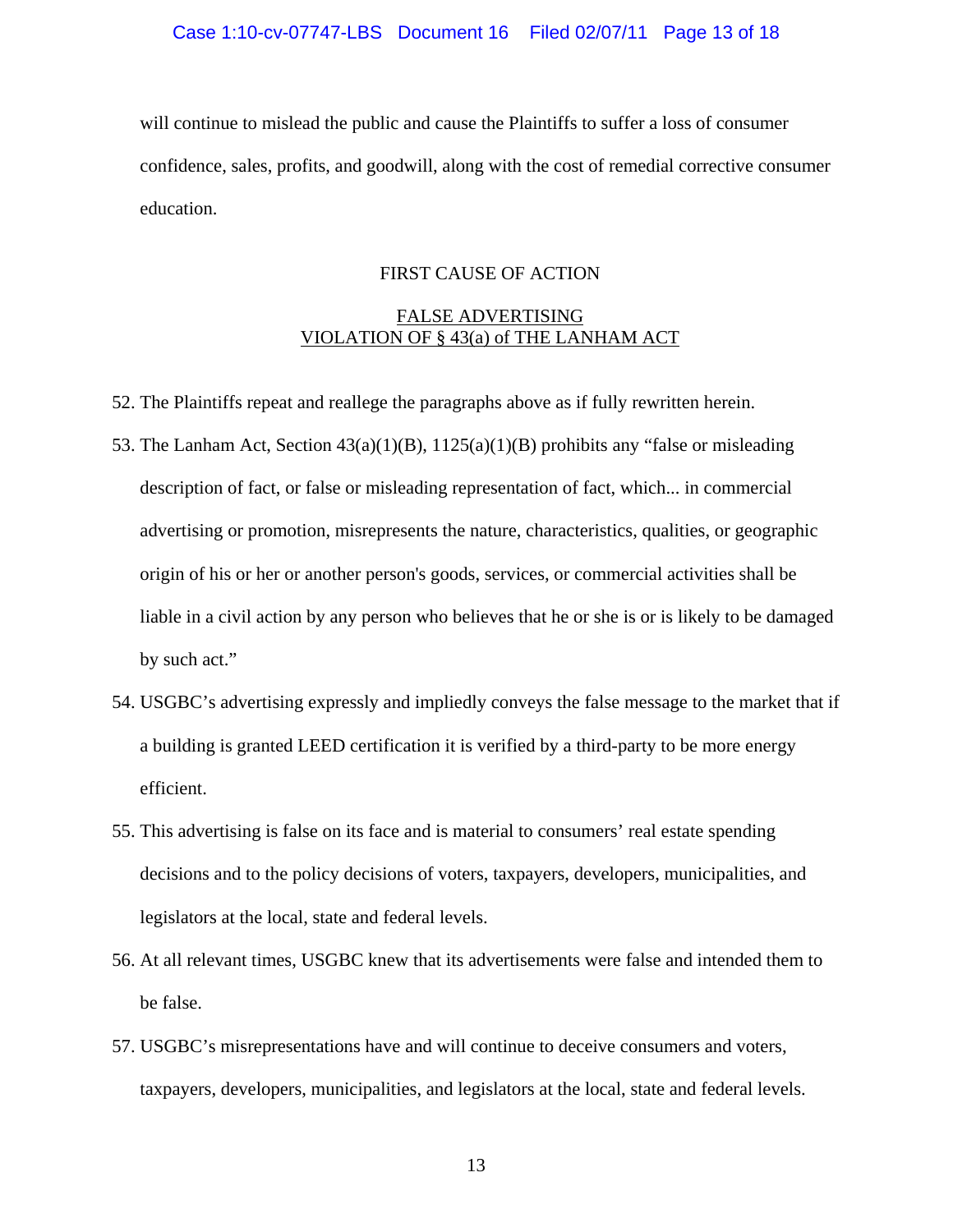will continue to mislead the public and cause the Plaintiffs to suffer a loss of consumer confidence, sales, profits, and goodwill, along with the cost of remedial corrective consumer education.

# FIRST CAUSE OF ACTION

# FALSE ADVERTISING VIOLATION OF § 43(a) of THE LANHAM ACT

- 52. The Plaintiffs repeat and reallege the paragraphs above as if fully rewritten herein.
- 53. The Lanham Act, Section 43(a)(1)(B), 1125(a)(1)(B) prohibits any "false or misleading description of fact, or false or misleading representation of fact, which... in commercial advertising or promotion, misrepresents the nature, characteristics, qualities, or geographic origin of his or her or another person's goods, services, or commercial activities shall be liable in a civil action by any person who believes that he or she is or is likely to be damaged by such act."
- 54. USGBC's advertising expressly and impliedly conveys the false message to the market that if a building is granted LEED certification it is verified by a third-party to be more energy efficient.
- 55. This advertising is false on its face and is material to consumers' real estate spending decisions and to the policy decisions of voters, taxpayers, developers, municipalities, and legislators at the local, state and federal levels.
- 56. At all relevant times, USGBC knew that its advertisements were false and intended them to be false.
- 57. USGBC's misrepresentations have and will continue to deceive consumers and voters, taxpayers, developers, municipalities, and legislators at the local, state and federal levels.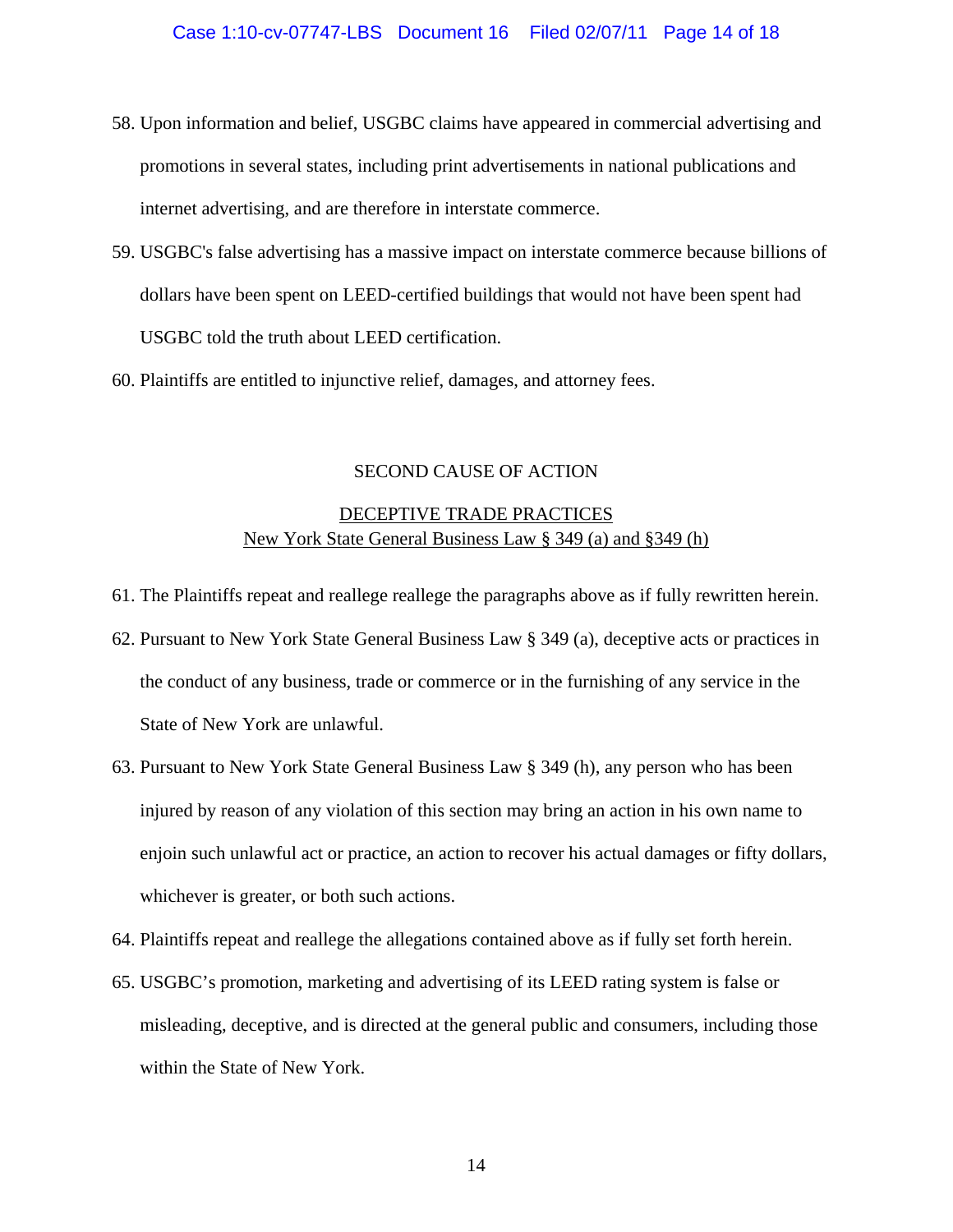- 58. Upon information and belief, USGBC claims have appeared in commercial advertising and promotions in several states, including print advertisements in national publications and internet advertising, and are therefore in interstate commerce.
- 59. USGBC's false advertising has a massive impact on interstate commerce because billions of dollars have been spent on LEED-certified buildings that would not have been spent had USGBC told the truth about LEED certification.
- 60. Plaintiffs are entitled to injunctive relief, damages, and attorney fees.

# SECOND CAUSE OF ACTION

# DECEPTIVE TRADE PRACTICES New York State General Business Law § 349 (a) and §349 (h)

- 61. The Plaintiffs repeat and reallege reallege the paragraphs above as if fully rewritten herein.
- 62. Pursuant to New York State General Business Law § 349 (a), deceptive acts or practices in the conduct of any business, trade or commerce or in the furnishing of any service in the State of New York are unlawful.
- 63. Pursuant to New York State General Business Law § 349 (h), any person who has been injured by reason of any violation of this section may bring an action in his own name to enjoin such unlawful act or practice, an action to recover his actual damages or fifty dollars, whichever is greater, or both such actions.
- 64. Plaintiffs repeat and reallege the allegations contained above as if fully set forth herein.
- 65. USGBC's promotion, marketing and advertising of its LEED rating system is false or misleading, deceptive, and is directed at the general public and consumers, including those within the State of New York.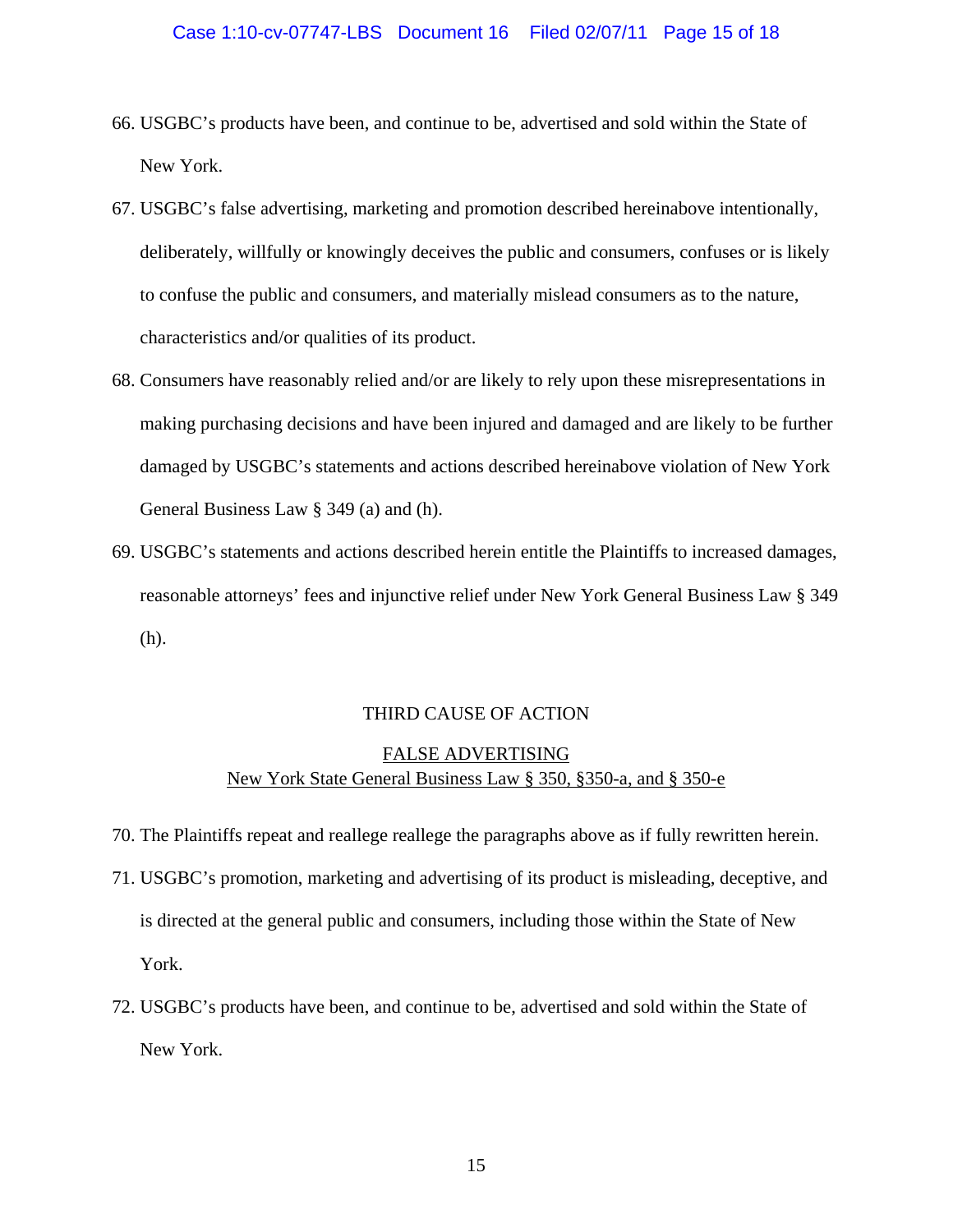- 66. USGBC's products have been, and continue to be, advertised and sold within the State of New York.
- 67. USGBC's false advertising, marketing and promotion described hereinabove intentionally, deliberately, willfully or knowingly deceives the public and consumers, confuses or is likely to confuse the public and consumers, and materially mislead consumers as to the nature, characteristics and/or qualities of its product.
- 68. Consumers have reasonably relied and/or are likely to rely upon these misrepresentations in making purchasing decisions and have been injured and damaged and are likely to be further damaged by USGBC's statements and actions described hereinabove violation of New York General Business Law § 349 (a) and (h).
- 69. USGBC's statements and actions described herein entitle the Plaintiffs to increased damages, reasonable attorneys' fees and injunctive relief under New York General Business Law § 349 (h).

# THIRD CAUSE OF ACTION

# FALSE ADVERTISING New York State General Business Law § 350, §350-a, and § 350-e

- 70. The Plaintiffs repeat and reallege reallege the paragraphs above as if fully rewritten herein.
- 71. USGBC's promotion, marketing and advertising of its product is misleading, deceptive, and is directed at the general public and consumers, including those within the State of New York.
- 72. USGBC's products have been, and continue to be, advertised and sold within the State of New York.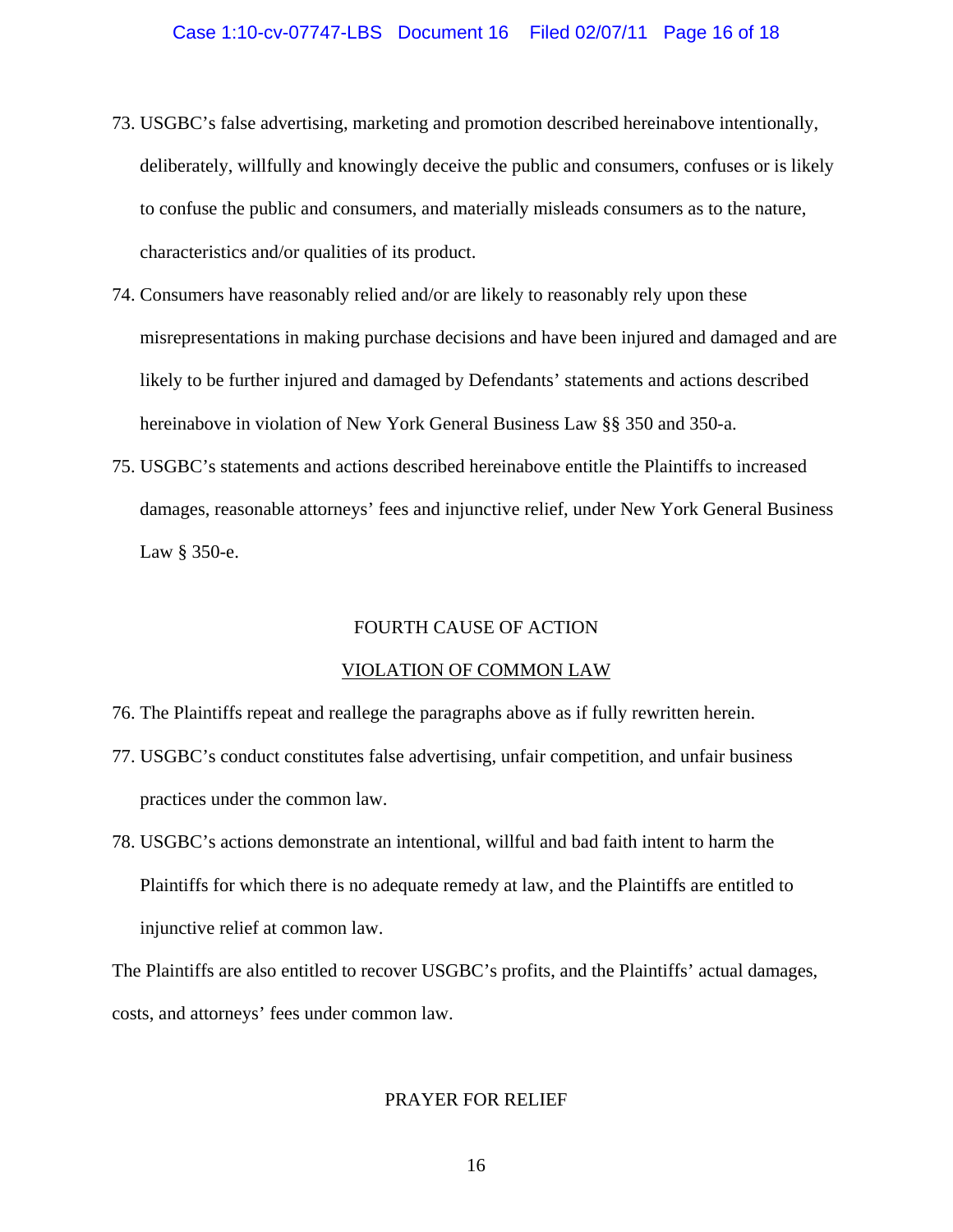- 73. USGBC's false advertising, marketing and promotion described hereinabove intentionally, deliberately, willfully and knowingly deceive the public and consumers, confuses or is likely to confuse the public and consumers, and materially misleads consumers as to the nature, characteristics and/or qualities of its product.
- 74. Consumers have reasonably relied and/or are likely to reasonably rely upon these misrepresentations in making purchase decisions and have been injured and damaged and are likely to be further injured and damaged by Defendants' statements and actions described hereinabove in violation of New York General Business Law §§ 350 and 350-a.
- 75. USGBC's statements and actions described hereinabove entitle the Plaintiffs to increased damages, reasonable attorneys' fees and injunctive relief, under New York General Business Law § 350-e.

## FOURTH CAUSE OF ACTION

## VIOLATION OF COMMON LAW

- 76. The Plaintiffs repeat and reallege the paragraphs above as if fully rewritten herein.
- 77. USGBC's conduct constitutes false advertising, unfair competition, and unfair business practices under the common law.
- 78. USGBC's actions demonstrate an intentional, willful and bad faith intent to harm the Plaintiffs for which there is no adequate remedy at law, and the Plaintiffs are entitled to injunctive relief at common law.

The Plaintiffs are also entitled to recover USGBC's profits, and the Plaintiffs' actual damages, costs, and attorneys' fees under common law.

# PRAYER FOR RELIEF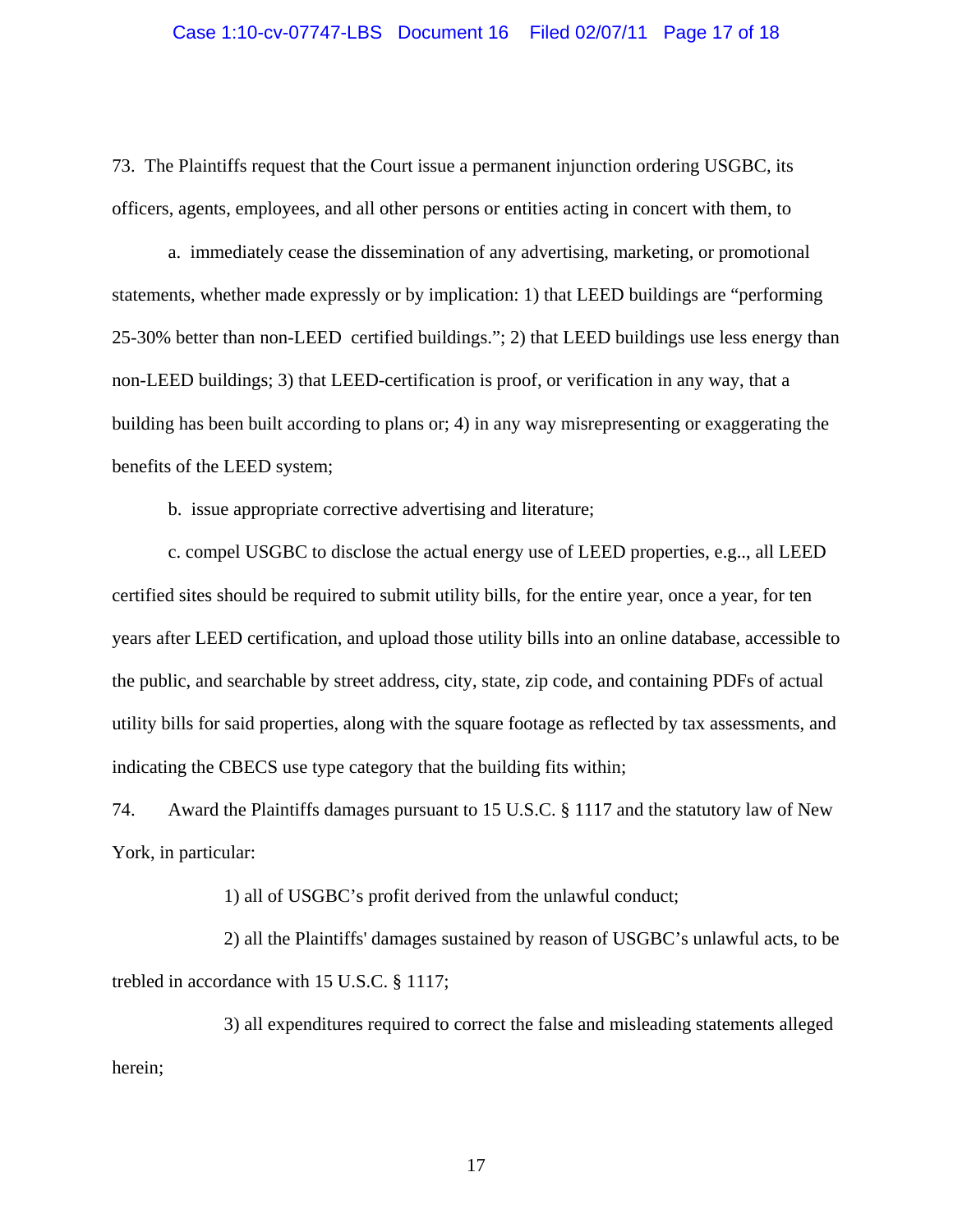73. The Plaintiffs request that the Court issue a permanent injunction ordering USGBC, its officers, agents, employees, and all other persons or entities acting in concert with them, to

a. immediately cease the dissemination of any advertising, marketing, or promotional statements, whether made expressly or by implication: 1) that LEED buildings are "performing 25-30% better than non-LEED certified buildings."; 2) that LEED buildings use less energy than non-LEED buildings; 3) that LEED-certification is proof, or verification in any way, that a building has been built according to plans or; 4) in any way misrepresenting or exaggerating the benefits of the LEED system;

b. issue appropriate corrective advertising and literature;

c. compel USGBC to disclose the actual energy use of LEED properties, e.g.., all LEED certified sites should be required to submit utility bills, for the entire year, once a year, for ten years after LEED certification, and upload those utility bills into an online database, accessible to the public, and searchable by street address, city, state, zip code, and containing PDFs of actual utility bills for said properties, along with the square footage as reflected by tax assessments, and indicating the CBECS use type category that the building fits within;

74. Award the Plaintiffs damages pursuant to 15 U.S.C. § 1117 and the statutory law of New York, in particular:

1) all of USGBC's profit derived from the unlawful conduct;

 2) all the Plaintiffs' damages sustained by reason of USGBC's unlawful acts, to be trebled in accordance with 15 U.S.C. § 1117;

 3) all expenditures required to correct the false and misleading statements alleged herein;